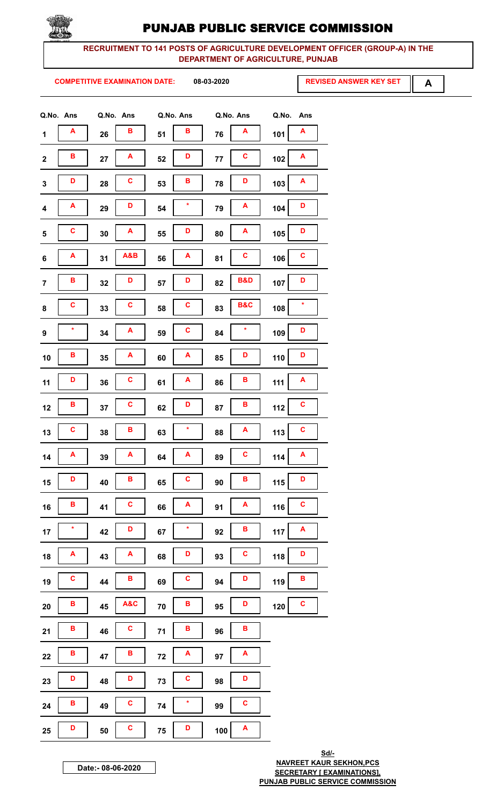

RECRUITMENT TO 141 POSTS OF AGRICULTURE DEVELOPMENT OFFICER (GROUP-A) IN THE DEPARTMENT OF AGRICULTURE, PUNJAB

**COMPETITIVE EXAMINATION DATE:** 

08-03-2020

**REVISED ANSWER KEY SET** 

 $\mathbf{A}$ 

| Q.No. Ans        |         | Q.No. Ans |              |      | Q.No. Ans    |     | Q.No. Ans      | Q.No. | Ans     |
|------------------|---------|-----------|--------------|------|--------------|-----|----------------|-------|---------|
| 1                | A       | 26        | в            | 51   | В            | 76  | A              | 101   | Α       |
| $\mathbf 2$      | в       | 27        | A            | 52   | D            | 77  | C              | 102   | Α       |
| $\mathbf 3$      | D       | 28        | C            | 53   | B            | 78  | D              | 103   | A       |
| $\boldsymbol{4}$ | A       | 29        | D            | 54   | $\star$      | 79  | A              | 104   | D       |
| 5                | C       | 30        | A            | 55   | D            | 80  | A              | 105   | D       |
| 6                | Α       | 31        | A&B          | 56   | A            | 81  | C              | 106   | C       |
| $\overline{7}$   | В       | 32        | D            | 57   | D            | 82  | <b>B&amp;D</b> | 107   | D       |
| 8                | C       | 33        | C            | 58   | C            | 83  | <b>B&amp;C</b> | 108   | $\star$ |
| $\boldsymbol{9}$ | ×       | 34        | Α            | 59   | C            | 84  | *              | 109   | D       |
| 10               | В       | 35        | A            | 60   | A            | 85  | D              | 110   | D       |
| 11               | D       | 36        | C            | 61   | A            | 86  | в              | 111   | Α       |
| 12               | В       | 37        | C            | 62   | D            | 87  | в              | 112   | C       |
| 13               | C       | 38        | В            | 63   | $\star$      | 88  | A              | 113   | C       |
| 14               | A       | 39        | A            | 64   | A            | 89  | $\mathbf c$    | 114   | A       |
| 15               | D       | 40        | В            | 65   | C            | 90  | B              | $115$ | D       |
| 16               | B       | 41        | $\mathbf{C}$ | 66   | A            | 91  | A              | 116   | C       |
| 17               | $\star$ | 42        | D            | 67   | $\star$      | 92  | В              | 117   | A       |
| 18               | A       | 43        | A            | 68   | D            | 93  | $\mathbf c$    | 118   | D       |
| 19               | C       | 44        | В            | 69   | $\mathbf{C}$ | 94  | D              | 119   | В       |
| ${\bf 20}$       | B       | 45        | A&C          | 70   | B            | 95  | D              | 120   | C       |
| 21               | В       | 46        | C            | $71$ | B            | 96  | В              |       |         |
| 22               | В       | 47        | В            | $72$ | A            | 97  | A              |       |         |
| 23               | D       | 48        | D            | 73   | $\mathbf{C}$ | 98  | D              |       |         |
| 24               | B       | 49        | C            | 74   | $\star$      | 99  | C              |       |         |
| ${\bf 25}$       | D       | 50        | C            | 75   | D            | 100 | A              |       |         |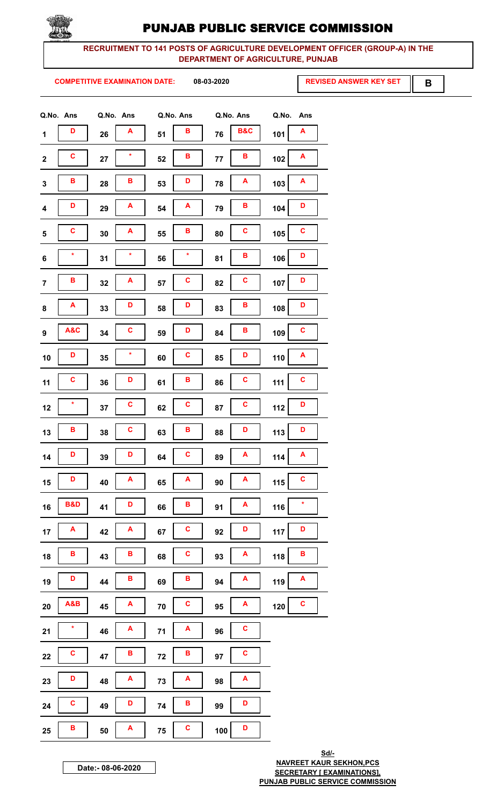

RECRUITMENT TO 141 POSTS OF AGRICULTURE DEVELOPMENT OFFICER (GROUP-A) IN THE DEPARTMENT OF AGRICULTURE, PUNJAB

**COMPETITIVE EXAMINATION DATE:** 

08-03-2020

**REVISED ANSWER KEY SET** 

B

| Q.No. Ans               |    | Q.No. Ans      | Q.No. Ans  |             |     | Q.No. Ans      | Q.No.<br>Ans          |
|-------------------------|----|----------------|------------|-------------|-----|----------------|-----------------------|
| D<br>$\mathbf 1$        | 26 | A              | 51         | в           | 76  | <b>B&amp;C</b> | A<br>101              |
| C<br>$\boldsymbol{2}$   | 27 | ×              | 52         | B           | 77  | В              | A<br>102              |
| в<br>$\mathbf 3$        | 28 | В              | 53         | D           | 78  | A              | A<br>103              |
| D<br>4                  | 29 | A              | 54         | A           | 79  | в              | D<br>104              |
| C<br>${\bf 5}$          | 30 | Α              | 55         | В           | 80  | C              | C<br>105              |
| ×<br>6                  | 31 | ÷              | 56         | ÷           | 81  | B              | D<br>106              |
| В<br>$\overline{7}$     | 32 | Α              | 57         | C           | 82  | C              | D<br>107              |
| A<br>8                  | 33 | D              | 58         | D           | 83  | В              | D<br>108              |
| A&C<br>$\boldsymbol{9}$ | 34 | C              | 59         | D           | 84  | в              | C<br>109              |
| D<br>10                 | 35 | $\star$        | 60         | C           | 85  | D              | A<br>110              |
| C<br>11                 | 36 | D              | 61         | В           | 86  | C              | C<br>111              |
| *<br>12                 | 37 | C              | 62         | C           | 87  | C              | D<br>112              |
| В<br>13                 | 38 | C              | 63         | В           | 88  | D              | D<br>113              |
| l p<br>14               | 39 | $\blacksquare$ | 64         | $\vert$ c   | 89  | $\overline{A}$ | $\overline{A}$<br>114 |
| D<br>15                 | 40 | A              | 65         | A           | 90  | A              | $\mathbf{C}$<br>$115$ |
| <b>B&amp;D</b><br>16    | 41 | D              | 66         | В           | 91  | A              | $\star$<br>116        |
| A<br>17                 | 42 | A              | 67         | C           | 92  | D              | D<br>$117$            |
| В<br>18                 | 43 | В              | 68         | C           | 93  | A              | B<br>118              |
| D<br>19                 | 44 | В              | 69         | В           | 94  | A              | A<br>119              |
| A&B<br>20               | 45 | A              | 70         | C           | 95  | A              | $\mathbf c$<br>$120$  |
| $\star$<br>21           | 46 | A              | $71$       | A           | 96  | C              |                       |
| C<br>22                 | 47 | В              | 72         | В           | 97  | C              |                       |
| D<br>23                 | 48 | A              | 73         | A           | 98  | A              |                       |
| $\mathbf{C}$<br>24      | 49 | D              | ${\bf 74}$ | В           | 99  | D              |                       |
| B<br>25                 | 50 | A              | 75         | $\mathbf c$ | 100 | D              |                       |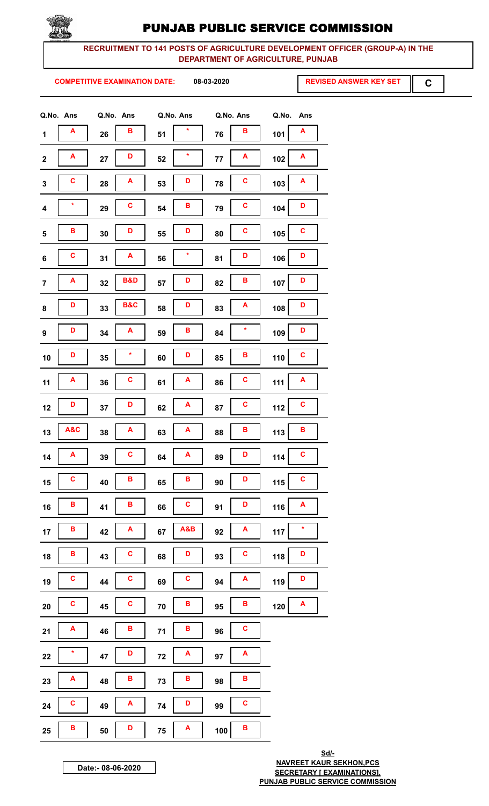

#### RECRUITMENT TO 141 POSTS OF AGRICULTURE DEVELOPMENT OFFICER (GROUP-A) IN THE DEPARTMENT OF AGRICULTURE, PUNJAB

**COMPETITIVE EXAMINATION DATE:** 

08-03-2020

**REVISED ANSWER KEY SET** 

 $\mathbf C$ 

|                         | Q.No. Ans | Q.No. Ans |                |      | Q.No. Ans | Q.No. Ans |                    | Q.No.<br>Ans         |
|-------------------------|-----------|-----------|----------------|------|-----------|-----------|--------------------|----------------------|
| $\mathbf{1}$            | A         | 26        | в              | 51   | $\star$   | 76        | B                  | A<br>101             |
| $\mathbf 2$             | Α         | 27        | D              | 52   | $\star$   | 77        | Α                  | A<br>102             |
| $\mathbf{3}$            | C         | 28        | A              | 53   | D         | 78        | C                  | A<br>103             |
| $\overline{\mathbf{4}}$ | $\star$   | 29        | C              | 54   | в         | 79        | C                  | D<br>104             |
| 5                       | в         | 30        | D              | 55   | D         | 80        | C                  | C<br>105             |
| 6                       | C         | 31        | A              | 56   | $\star$   | 81        | D                  | D<br>106             |
| $\overline{7}$          | A         | 32        | <b>B&amp;D</b> | 57   | D         | 82        | в                  | D<br>107             |
| 8                       | D         | 33        | <b>B&amp;C</b> | 58   | D         | 83        | A                  | D<br>108             |
| $\boldsymbol{9}$        | D         | 34        | A              | 59   | в         | 84        | $\star$            | D<br>109             |
| 10                      | D         | 35        | $\star$        | 60   | D         | 85        | в                  | C<br>110             |
| 11                      | A         | 36        | $\mathbf c$    | 61   | A         | 86        | C                  | A<br>111             |
| 12                      | D         | 37        | D              | 62   | A         | 87        | C                  | $\mathbf c$<br>112   |
| 13                      | A&C       | 38        | A              | 63   | A         | 88        | В                  | в<br>113             |
| 14                      | A         | 39        | C              | 64   | A         | 89        | D                  | $\mathbf c$<br>$114$ |
| 15                      | C         | 40        | B              | 65   | B         | 90        | D                  | $\mathbf c$<br>$115$ |
| $16\,$                  | В         | 41        | В              | 66   | C         | 91        | D                  | A<br>116             |
| 17                      | B         | 42        | A              | 67   | A&B       | 92        | A                  | ×<br>117             |
| 18                      | B         | 43        | $\mathbf{C}$   | 68   | D         | 93        | C                  | D<br>118             |
| 19                      | C         | 44        | C              | 69   | C         | 94        | A                  | D<br>119             |
| 20                      | C         | 45        | $\mathbf c$    | 70   | B         | 95        | В                  | A<br>120             |
| 21                      | A         | 46        | В              | $71$ | B         | 96        | C                  |                      |
| 22                      | ×         | 47        | D              | $72$ | A         | 97        | $\pmb{\mathsf{A}}$ |                      |
| 23                      | A         | 48        | В              | 73   | В         | 98        | В                  |                      |
| 24                      | C         | 49        | A              | 74   | D         | 99        | C                  |                      |
| 25                      | B         | 50        | D              | 75   | A         | 100       | B                  |                      |